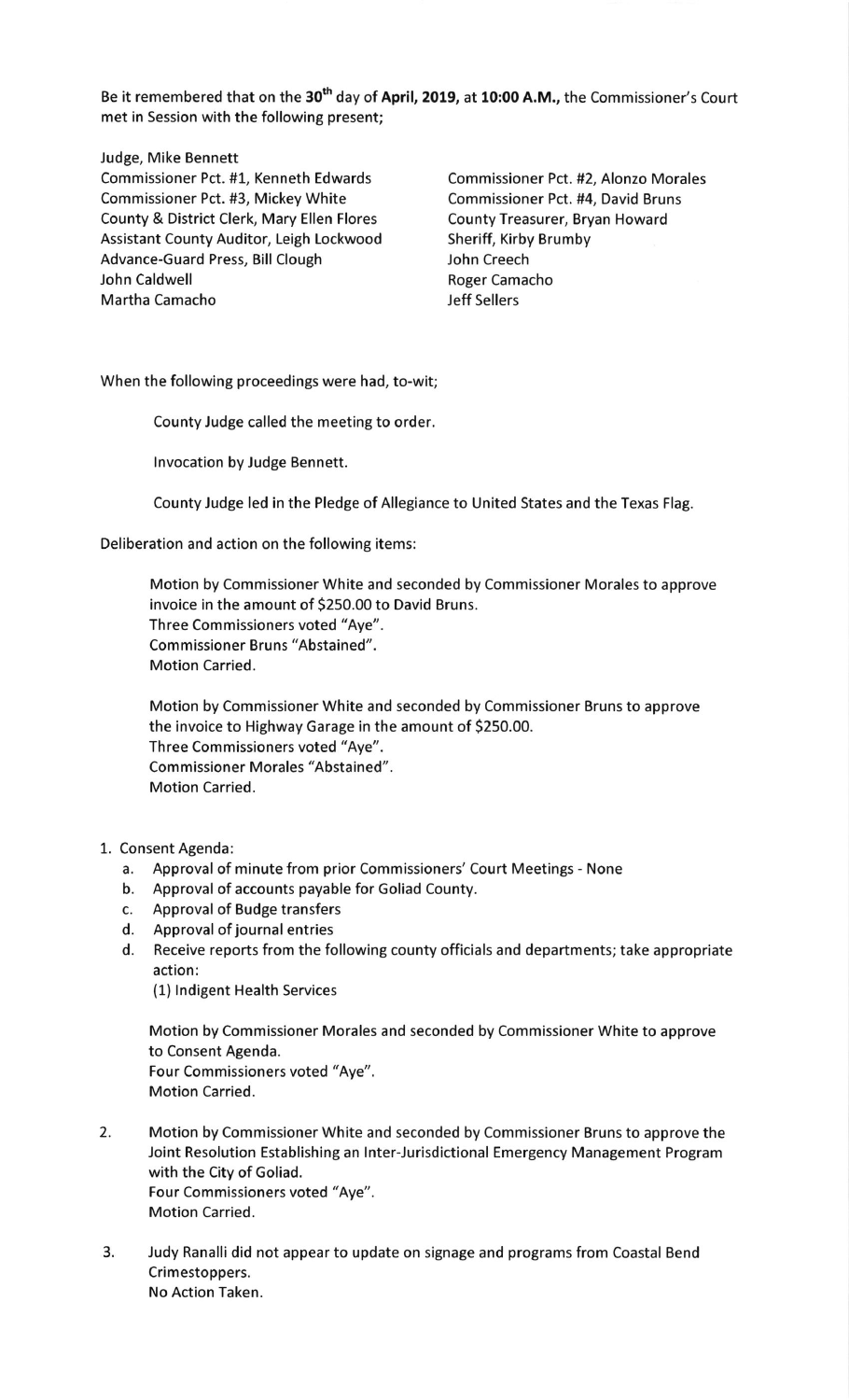Be it remembered that on the 30<sup>th</sup> day of April, 2019, at 10:00 A.M., the Commissioner's Court met in Session with the following present;

Judge, Mike Bennett Commissioner Pct. #1, Kenneth Edwards Commissioner Pct. #2, Alonzo Morales Commissioner Pct. #3, Mickey White Commissioner Pct. #4, David Bruns County & District Clerk, Mary Ellen Flores County Treasurer, Bryan Howard Assistant County Auditor, Leigh Lockwood Sheriff, Kirby Brumby<br>Advance-Guard Press, Bill Clough Sheriff, Shen Creech Advance-Guard Press, Bill Clough John Caldwell **Roger Camacho** Martha Camacho Jeff Sellers

When the following proceedings were had, to-wit;

County Judge called the meeting to order.

lnvocation by Judge Bennett.

County Judge led in the Pledge of Allegiance to United States and the Texas Flag.

Deliberation and action on the following items:

Motion by Commissioner White and seconded by Commissioner Morales to approve invoice in the amount of 5250.00 to David Bruns. Three Commissioners voted "Aye". Commissioner Bruns "Abstained". Motion Carried.

Motion by Commissioner White and seconded by Commissioner Bruns to approve the invoice to Highway Garage in the amount of 5250.00. Three Commissioners voted "Aye". Commissioner Morales "Abstained". Motion Carried.

## 1. Consent Agenda:

- a. Approval of minute from prior Commissioners' Court Meetings None
- b. Approval of accounts payable for Goliad County.
- c. Approval of Budge transfers
- d. Approval of journal entries
- d. Receive reports from the following county officials and departments; take appropriate action:

(1) lndigent Health Services

Motion by Commissioner Morales and seconded by Commissioner White to approve to Consent Agenda. Four Commissioners voted "Aye". Motion Carried.

- 2. Motion by Commissioner White and seconded by Commissioner Bruns to approve the Joint Resolution Establishing an lnter-Jurisdictional Emergency Management Program with the City of Goliad. Four Commissioners voted "Aye". Motion Carried.
- 3. Judy Ranalli did not appear to update on signage and programs from Coastal Bend Crimestoppers. No Action Taken.